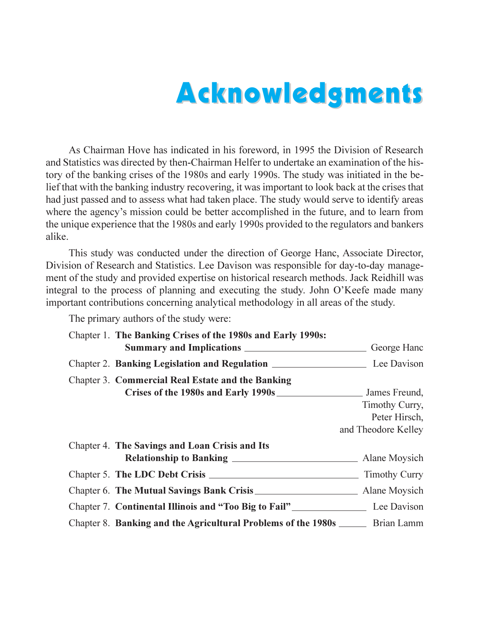## **Acknowledgments**

As Chairman Hove has indicated in his foreword, in 1995 the Division of Research and Statistics was directed by then-Chairman Helfer to undertake an examination of the history of the banking crises of the 1980s and early 1990s. The study was initiated in the belief that with the banking industry recovering, it was important to look back at the crises that had just passed and to assess what had taken place. The study would serve to identify areas where the agency's mission could be better accomplished in the future, and to learn from the unique experience that the 1980s and early 1990s provided to the regulators and bankers alike.

This study was conducted under the direction of George Hanc, Associate Director, Division of Research and Statistics. Lee Davison was responsible for day-to-day management of the study and provided expertise on historical research methods. Jack Reidhill was integral to the process of planning and executing the study. John O'Keefe made many important contributions concerning analytical methodology in all areas of the study.

The primary authors of the study were:

| Chapter 1. The Banking Crises of the 1980s and Early 1990s:                      |                     |
|----------------------------------------------------------------------------------|---------------------|
|                                                                                  | George Hanc         |
|                                                                                  |                     |
| <b>Chapter 3. Commercial Real Estate and the Banking</b>                         |                     |
| Crises of the 1980s and Early 1990s                                              | James Freund,       |
|                                                                                  | Timothy Curry,      |
|                                                                                  | Peter Hirsch,       |
|                                                                                  | and Theodore Kelley |
| Chapter 4. The Savings and Loan Crisis and Its                                   |                     |
|                                                                                  |                     |
|                                                                                  |                     |
|                                                                                  |                     |
| Chapter 7. Continental Illinois and "Too Big to Fail" Lee Davison                |                     |
| Chapter 8. Banking and the Agricultural Problems of the 1980s _______ Brian Lamm |                     |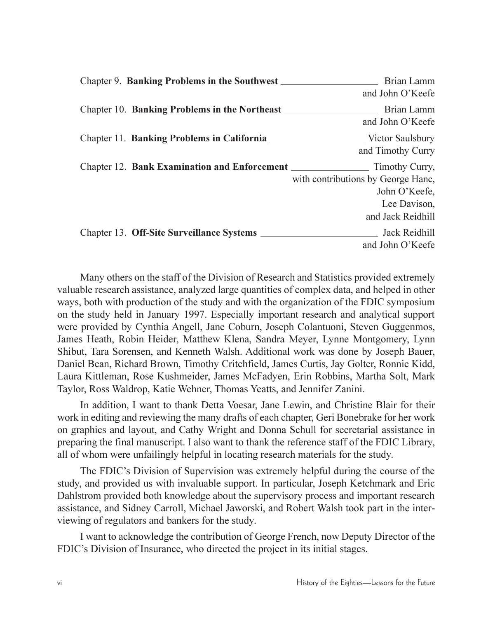| Chapter 9. Banking Problems in the Southwest                 | Brian Lamm                         |
|--------------------------------------------------------------|------------------------------------|
|                                                              | and John O'Keefe                   |
| Chapter 10. Banking Problems in the Northeast                | Brian Lamm                         |
|                                                              | and John O'Keefe                   |
| Chapter 11. Banking Problems in California                   | Victor Saulsbury                   |
|                                                              | and Timothy Curry                  |
| Chapter 12. Bank Examination and Enforcement _______________ | Timothy Curry,                     |
|                                                              | with contributions by George Hanc, |
|                                                              | John O'Keefe,                      |
|                                                              | Lee Davison,                       |
|                                                              | and Jack Reidhill                  |
|                                                              |                                    |
|                                                              | and John O'Keefe                   |

Many others on the staff of the Division of Research and Statistics provided extremely valuable research assistance, analyzed large quantities of complex data, and helped in other ways, both with production of the study and with the organization of the FDIC symposium on the study held in January 1997. Especially important research and analytical support were provided by Cynthia Angell, Jane Coburn, Joseph Colantuoni, Steven Guggenmos, James Heath, Robin Heider, Matthew Klena, Sandra Meyer, Lynne Montgomery, Lynn Shibut, Tara Sorensen, and Kenneth Walsh. Additional work was done by Joseph Bauer, Daniel Bean, Richard Brown, Timothy Critchfield, James Curtis, Jay Golter, Ronnie Kidd, Laura Kittleman, Rose Kushmeider, James McFadyen, Erin Robbins, Martha Solt, Mark Taylor, Ross Waldrop, Katie Wehner, Thomas Yeatts, and Jennifer Zanini.

In addition, I want to thank Detta Voesar, Jane Lewin, and Christine Blair for their work in editing and reviewing the many drafts of each chapter, Geri Bonebrake for her work on graphics and layout, and Cathy Wright and Donna Schull for secretarial assistance in preparing the final manuscript. I also want to thank the reference staff of the FDIC Library, all of whom were unfailingly helpful in locating research materials for the study.

The FDIC's Division of Supervision was extremely helpful during the course of the study, and provided us with invaluable support. In particular, Joseph Ketchmark and Eric Dahlstrom provided both knowledge about the supervisory process and important research assistance, and Sidney Carroll, Michael Jaworski, and Robert Walsh took part in the interviewing of regulators and bankers for the study.

I want to acknowledge the contribution of George French, now Deputy Director of the FDIC's Division of Insurance, who directed the project in its initial stages.